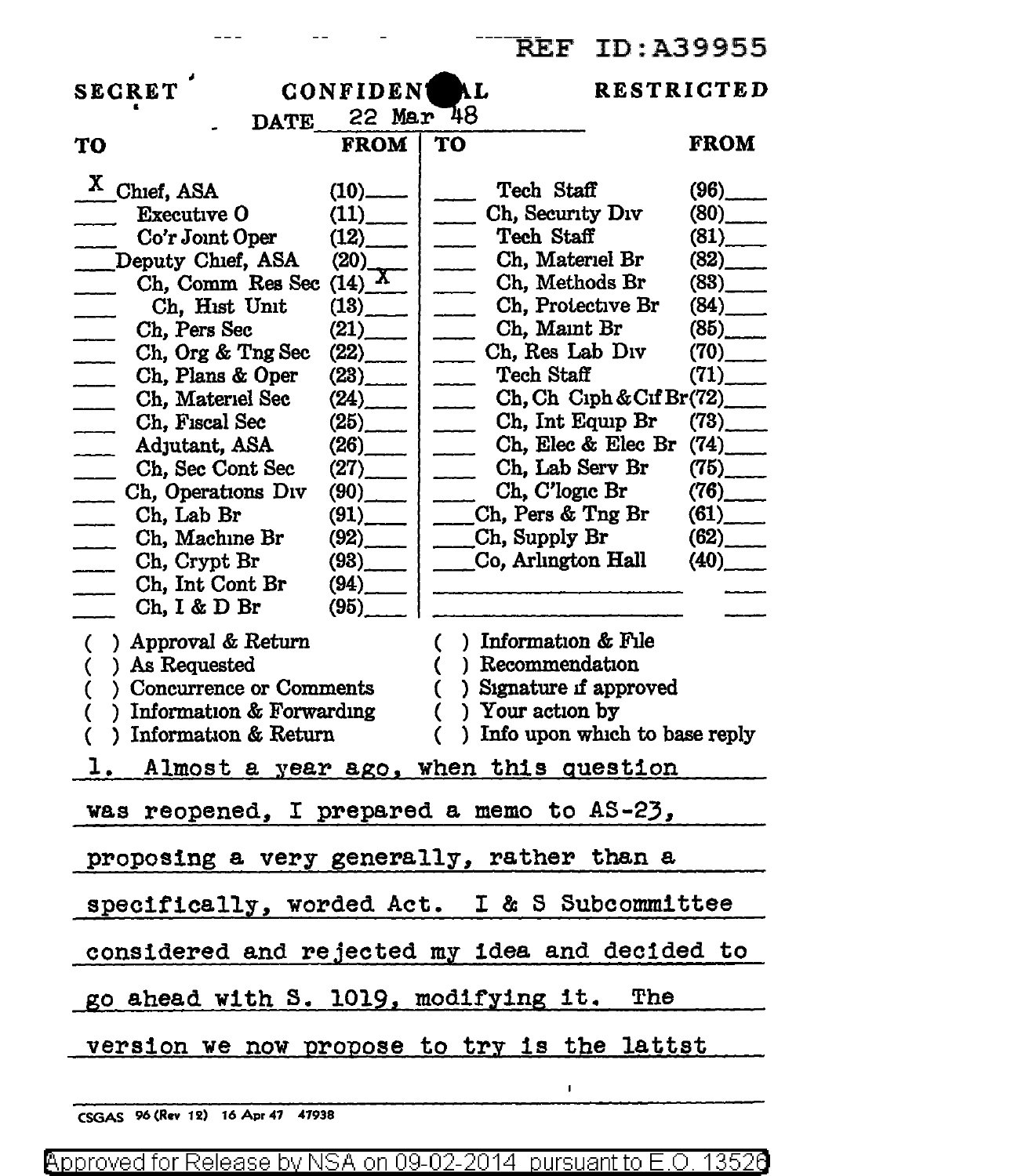|                                                                                                                                                                                                                                                                                                                                                                                                                                                                                                                                                                                             | <b>REF ID:A39955</b>                                                                                                                                                                                                                                                                                                                                                                                                                                                                                                                                           |
|---------------------------------------------------------------------------------------------------------------------------------------------------------------------------------------------------------------------------------------------------------------------------------------------------------------------------------------------------------------------------------------------------------------------------------------------------------------------------------------------------------------------------------------------------------------------------------------------|----------------------------------------------------------------------------------------------------------------------------------------------------------------------------------------------------------------------------------------------------------------------------------------------------------------------------------------------------------------------------------------------------------------------------------------------------------------------------------------------------------------------------------------------------------------|
| <b>SECRET</b><br><b>RESTRICTED</b><br>CONFIDENT AL<br>DATE 22 Mar 48                                                                                                                                                                                                                                                                                                                                                                                                                                                                                                                        |                                                                                                                                                                                                                                                                                                                                                                                                                                                                                                                                                                |
| <b>FROM</b><br>TO                                                                                                                                                                                                                                                                                                                                                                                                                                                                                                                                                                           | <b>FROM</b><br>TO                                                                                                                                                                                                                                                                                                                                                                                                                                                                                                                                              |
| $X$ Chief, ASA<br>$(10)$  <br><b>Executive O</b><br>(11)<br>(12)<br>Co'r Joint Oper<br>Deputy Chief, ASA<br>(20)<br>Ch, Comm Res Sec (14) X<br>Ch, Hist Unit<br>$(13)$ <sub>__</sub><br>$(21)$ <sub>____</sub><br>Ch, Pers Sec<br>$\overline{\phantom{a}}$<br>(22)<br>Ch, Org & Tng Sec<br>$\overline{\phantom{a}}$<br>Ch, Plans & Oper<br>(23)<br>Ch, Materiel Sec<br>(24)<br>Ch, Fiscal Sec<br>(25)<br>Adjutant, ASA<br>(26)<br>$\overline{\phantom{a}}$<br>Ch, Sec Cont Sec<br>(27)<br>$\overline{\phantom{a}}$<br>Ch, Operations Div<br>$(90)$ <sub>_____</sub><br>Ch, Lab Br<br>$(91)$ | Tech Staff<br>$(96)$ <sub>____</sub><br>Ch, Security Div<br>(80)<br>Tech Staff<br>(81)<br>Ch, Materiel Br<br>(82)<br>(83)<br>Ch, Methods Br<br>(84)<br>Ch, Protective Br<br>$\overline{\phantom{a}}$<br>(85)<br>Ch, Maint Br<br>$\overline{\phantom{a}}$<br>Ch, Res Lab Div<br>$(70)$ <sub>_____</sub><br>$\frac{1}{2}$<br>Tech Staff<br>(71)<br>$\overline{\phantom{a}}$<br>$\Box$ Ch, Int Equip Br<br>(73)<br>$\sim$ Ch, Elec & Elec Br<br>(74)<br>Ch, Lab Serv Br<br>(75)<br>$\Box$ Ch, C'logic Br<br>$(76)$ <sub>____</sub><br>__Ch, Pers & Tng Br<br>(61) |
| Ch, Machine Br<br>$(93)$  <br>Ch, Crypt Br<br>Ch, Int Cont Br<br>$(94)$ <sub>——</sub><br>Ch, I & D Br<br>(95)<br>$($ ) Approval & Return<br>) As Requested<br>€<br>) Concurrence or Comments<br>C<br>) Information $&$ Forwarding<br>€<br>) Information & Return<br>€<br>Almost a year ago, when this question                                                                                                                                                                                                                                                                              | (62)<br>$(92)$ $\qquad$ $\qquad$ Ch, Supply Br<br>Co, Arlington Hall<br>(40)<br>$( )$ Information & File<br>) Recommendation<br>€<br>) Signature if approved<br>€<br>) Your action by<br>$\overline{C}$<br>) Info upon which to base reply                                                                                                                                                                                                                                                                                                                     |
| was reopened, I prepared a memo to AS-23,                                                                                                                                                                                                                                                                                                                                                                                                                                                                                                                                                   |                                                                                                                                                                                                                                                                                                                                                                                                                                                                                                                                                                |
| proposing a very generally, rather than a<br>specifically, worded Act. I & S Subcommittee                                                                                                                                                                                                                                                                                                                                                                                                                                                                                                   |                                                                                                                                                                                                                                                                                                                                                                                                                                                                                                                                                                |
| considered and rejected my idea and decided to<br>go ahead with S. 1019, modifying it. The                                                                                                                                                                                                                                                                                                                                                                                                                                                                                                  |                                                                                                                                                                                                                                                                                                                                                                                                                                                                                                                                                                |
| version we now propose to try is the lattst                                                                                                                                                                                                                                                                                                                                                                                                                                                                                                                                                 |                                                                                                                                                                                                                                                                                                                                                                                                                                                                                                                                                                |
|                                                                                                                                                                                                                                                                                                                                                                                                                                                                                                                                                                                             |                                                                                                                                                                                                                                                                                                                                                                                                                                                                                                                                                                |

CSGAS 96 (Rev 12) 16 Apr 47 47938

 $---$ 

 $- -$ 

Approved for Release by NSA on 09-02-2014 pursuant to E.O. 13526